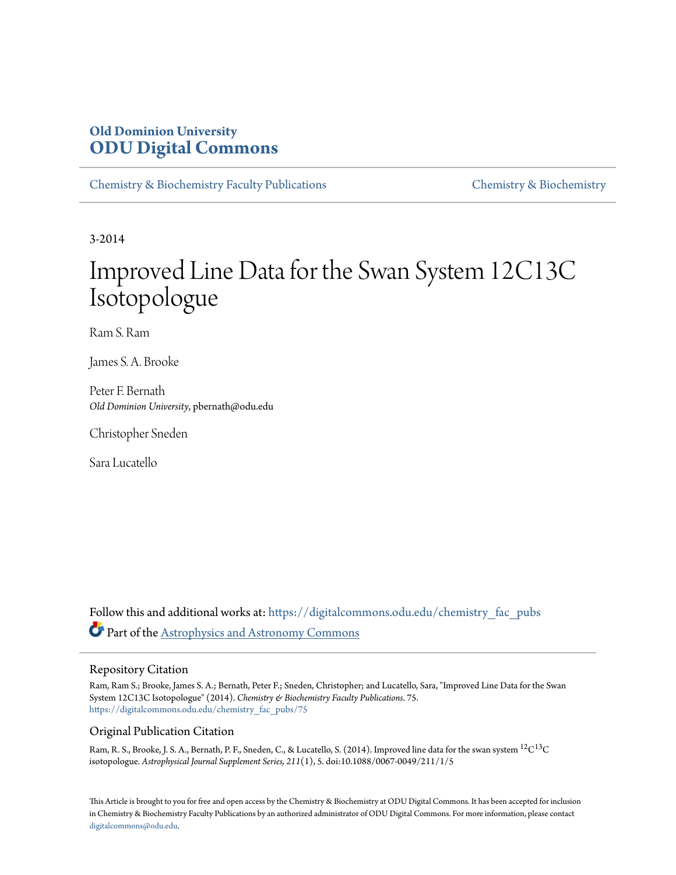# **Old Dominion University [ODU Digital Commons](https://digitalcommons.odu.edu?utm_source=digitalcommons.odu.edu%2Fchemistry_fac_pubs%2F75&utm_medium=PDF&utm_campaign=PDFCoverPages)**

[Chemistry & Biochemistry Faculty Publications](https://digitalcommons.odu.edu/chemistry_fac_pubs?utm_source=digitalcommons.odu.edu%2Fchemistry_fac_pubs%2F75&utm_medium=PDF&utm_campaign=PDFCoverPages) [Chemistry & Biochemistry](https://digitalcommons.odu.edu/chemistry?utm_source=digitalcommons.odu.edu%2Fchemistry_fac_pubs%2F75&utm_medium=PDF&utm_campaign=PDFCoverPages)

3-2014

# Improved Line Data for the Swan System 12C13C Isotopologue

Ram S. Ram

James S. A. Brooke

Peter F. Bernath *Old Dominion University*, pbernath@odu.edu

Christopher Sneden

Sara Lucatello

Follow this and additional works at: [https://digitalcommons.odu.edu/chemistry\\_fac\\_pubs](https://digitalcommons.odu.edu/chemistry_fac_pubs?utm_source=digitalcommons.odu.edu%2Fchemistry_fac_pubs%2F75&utm_medium=PDF&utm_campaign=PDFCoverPages) Part of the [Astrophysics and Astronomy Commons](http://network.bepress.com/hgg/discipline/123?utm_source=digitalcommons.odu.edu%2Fchemistry_fac_pubs%2F75&utm_medium=PDF&utm_campaign=PDFCoverPages)

## Repository Citation

Ram, Ram S.; Brooke, James S. A.; Bernath, Peter F.; Sneden, Christopher; and Lucatello, Sara, "Improved Line Data for the Swan System 12C13C Isotopologue" (2014). *Chemistry & Biochemistry Faculty Publications*. 75. [https://digitalcommons.odu.edu/chemistry\\_fac\\_pubs/75](https://digitalcommons.odu.edu/chemistry_fac_pubs/75?utm_source=digitalcommons.odu.edu%2Fchemistry_fac_pubs%2F75&utm_medium=PDF&utm_campaign=PDFCoverPages)

# Original Publication Citation

Ram, R. S., Brooke, J. S. A., Bernath, P. F., Sneden, C., & Lucatello, S. (2014). Improved line data for the swan system  $\rm ^{12}C^{13}C$ isotopologue. *Astrophysical Journal Supplement Series, 211*(1), 5. doi:10.1088/0067-0049/211/1/5

This Article is brought to you for free and open access by the Chemistry & Biochemistry at ODU Digital Commons. It has been accepted for inclusion in Chemistry & Biochemistry Faculty Publications by an authorized administrator of ODU Digital Commons. For more information, please contact [digitalcommons@odu.edu.](mailto:digitalcommons@odu.edu)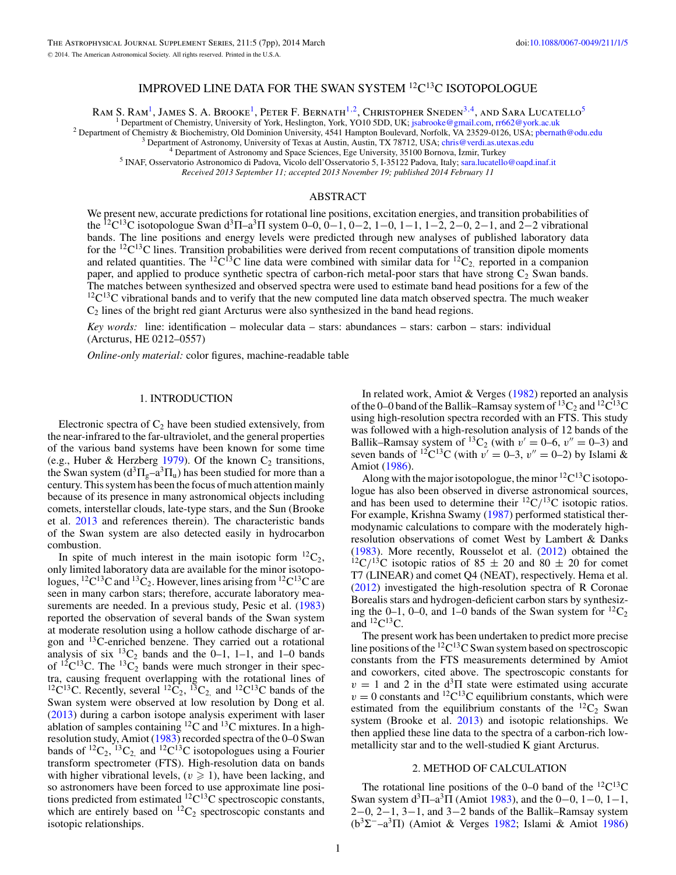# IMPROVED LINE DATA FOR THE SWAN SYSTEM 12C13C ISOTOPOLOGUE

RAM S. RAM<sup>1</sup>, JAMES S. A. BROOKE<sup>1</sup>, PETER F. BERNATH<sup>1, 2</sup>, CHRISTOPHER SNEDEN<sup>3,4</sup>, AND SARA LUCATELLO<sup>5</sup><sup>1</sup> Department of Chemistry, University of York, Heslington, York, YO10 5DD, UK; jsabrooke@gmail.com, rr662@york.a

<sup>2</sup> Department of Chemistry & Biochemistry, Old Dominion University, 4541 Hampton Boulevard, Norfolk, VA 23529-0126, USA; phernath@odu.edu <sup>3</sup> Department of Astronomy, University of Texas at Austin, Austin, TX 78712, USA;

*Received 2013 September 11; accepted 2013 November 19; published 2014 February 11*

#### ABSTRACT

We present new, accurate predictions for rotational line positions, excitation energies, and transition probabilities of the <sup>12</sup>C<sup>13</sup>C isotopologue Swan d<sup>3</sup> $\Pi$ –a<sup>3</sup> $\Pi$  system 0–0, 0–1, 0–2, 1–0, 1–1, 1–2, 2–0, 2–1, and 2–2 vibrational bands. The line positions and energy levels were predicted through new analyses of published laboratory data for the  ${}^{12}C^{13}C$  lines. Transition probabilities were derived from recent computations of transition dipole moments and related quantities. The <sup>12</sup>C<sup>13</sup>C line data were combined with similar data for <sup>12</sup>C<sub>2</sub>, reported in a companion paper, and applied to produce synthetic spectra of carbon-rich metal-poor stars that have strong  $C_2$  Swan bands. The matches between synthesized and observed spectra were used to estimate band head positions for a few of the  $12C13C$  vibrational bands and to verify that the new computed line data match observed spectra. The much weaker  $C_2$  lines of the bright red giant Arcturus were also synthesized in the band head regions.

*Key words:* line: identification – molecular data – stars: abundances – stars: carbon – stars: individual (Arcturus, HE 0212–0557)

*Online-only material:* color figures, machine-readable table

#### 1. INTRODUCTION

Electronic spectra of  $C_2$  have been studied extensively, from the near-infrared to the far-ultraviolet, and the general properties of the various band systems have been known for some time (e.g., Huber & Herzberg [1979\)](#page-7-0). Of the known  $C_2$  transitions, the Swan system  $(d^3\Pi_g - a^3\Pi_u)$  has been studied for more than a century. This system has been the focus of much attention mainly because of its presence in many astronomical objects including comets, interstellar clouds, late-type stars, and the Sun (Brooke et al. [2013](#page-7-0) and references therein). The characteristic bands of the Swan system are also detected easily in hydrocarbon combustion.

In spite of much interest in the main isotopic form  ${}^{12}C_2$ , only limited laboratory data are available for the minor isotopologues,  ${}^{12}C^{13}C$  and  ${}^{13}C_2$ . However, lines arising from  ${}^{12}C^{13}C$  are seen in many carbon stars; therefore, accurate laboratory measurements are needed. In a previous study, Pesic et al.  $(1983)$ reported the observation of several bands of the Swan system at moderate resolution using a hollow cathode discharge of argon and 13C-enriched benzene. They carried out a rotational analysis of six  ${}^{13}C_2$  bands and the 0–1, 1–1, and 1–0 bands of  $^{12}C^{13}C$ . The  $^{13}C_2$  bands were much stronger in their spectra, causing frequent overlapping with the rotational lines of <sup>12</sup>C<sup>13</sup>C. Recently, several <sup>12</sup>C<sub>2</sub>, <sup>13</sup>C<sub>2</sub> and <sup>12</sup>C<sup>13</sup>C bands of the Swan system were observed at low resolution by Dong et al. [\(2013\)](#page-7-0) during a carbon isotope analysis experiment with laser ablation of samples containing  ${}^{12}C$  and  ${}^{13}C$  mixtures. In a highresolution study, Amiot [\(1983\)](#page-7-0) recorded spectra of the 0–0 Swan bands of  ${}^{12}C_2$ ,  ${}^{13}C_2$  and  ${}^{12}C_1{}^{13}C_2$  isotopologues using a Fourier transform spectrometer (FTS). High-resolution data on bands with higher vibrational levels,  $(v \ge 1)$ , have been lacking, and so astronomers have been forced to use approximate line positions predicted from estimated  ${}^{12}C^{13}C$  spectroscopic constants, which are entirely based on  ${}^{12}C_2$  spectroscopic constants and isotopic relationships.

In related work, Amiot & Verges [\(1982\)](#page-7-0) reported an analysis of the 0–0 band of the Ballik–Ramsay system of  ${}^{13}C_2$  and  ${}^{12}C^{13}C$ using high-resolution spectra recorded with an FTS. This study was followed with a high-resolution analysis of 12 bands of the Ballik–Ramsay system of <sup>13</sup>C<sub>2</sub> (with  $v' = 0-6$ ,  $v'' = 0-3$ ) and seven bands of <sup>12</sup>C<sup>13</sup>C (with  $v' = 0$ -3,  $v'' = 0$ -2) by Islami & Amiot [\(1986\)](#page-7-0).

Along with the major isotopologue, the minor  ${}^{12}C^{13}C$  isotopologue has also been observed in diverse astronomical sources, and has been used to determine their  ${}^{12}C/{}^{13}C$  isotopic ratios. For example, Krishna Swamy [\(1987\)](#page-7-0) performed statistical thermodynamic calculations to compare with the moderately highresolution observations of comet West by Lambert & Danks [\(1983\)](#page-7-0). More recently, Rousselot et al. [\(2012\)](#page-7-0) obtained the  $^{12}C/^{13}C$  isotopic ratios of 85  $\pm$  20 and 80  $\pm$  20 for comet T7 (LINEAR) and comet Q4 (NEAT), respectively. Hema et al. [\(2012\)](#page-7-0) investigated the high-resolution spectra of R Coronae Borealis stars and hydrogen-deficient carbon stars by synthesizing the 0–1, 0–0, and 1–0 bands of the Swan system for  ${}^{12}C_2$ and  ${}^{12}C^{13}C$ .

The present work has been undertaken to predict more precise line positions of the  ${}^{12}C^{13}C$  Swan system based on spectroscopic constants from the FTS measurements determined by Amiot and coworkers, cited above. The spectroscopic constants for  $v = 1$  and 2 in the  $d^3\Pi$  state were estimated using accurate  $v = 0$  constants and <sup>12</sup>C<sup>13</sup>C equilibrium constants, which were estimated from the equilibrium constants of the  ${}^{12}C_2$  Swan system (Brooke et al. [2013\)](#page-7-0) and isotopic relationships. We then applied these line data to the spectra of a carbon-rich lowmetallicity star and to the well-studied K giant Arcturus.

#### 2. METHOD OF CALCULATION

The rotational line positions of the 0–0 band of the  ${}^{12}C^{13}C$ Swan system  $d^3\Pi - a^3\Pi$  (Amiot [1983\)](#page-7-0), and the 0–0, 1–0, 1–1,  $2-0$ ,  $2-1$ ,  $3-1$ , and  $3-2$  bands of the Ballik–Ramsay system ( $b^3\Sigma^-$ –a<sup>3</sup>Π) (Amiot & Verges [1982;](#page-7-0) Islami & Amiot [1986\)](#page-7-0)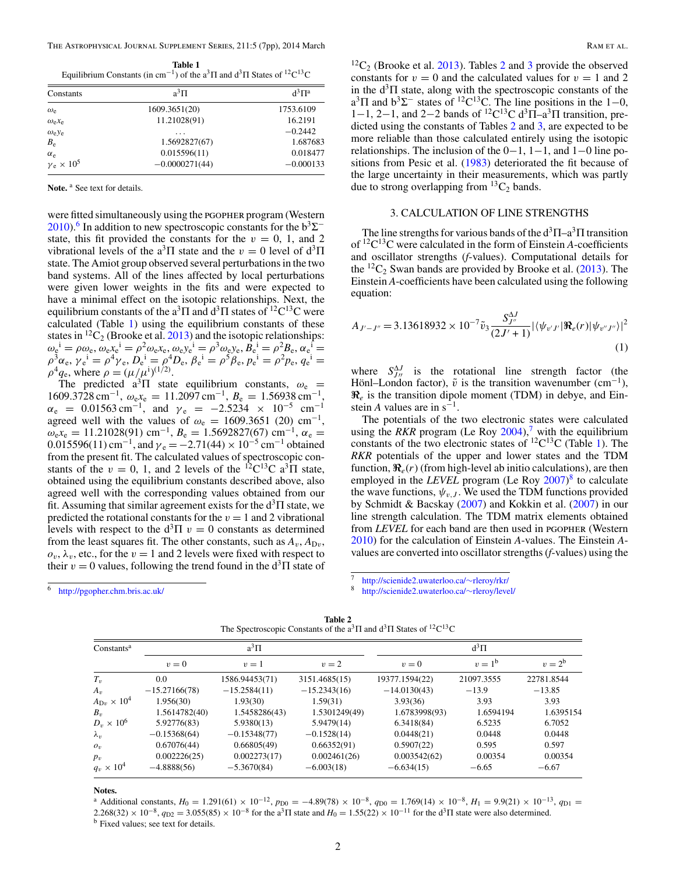| Table 1                                                                                                                                     |  |
|---------------------------------------------------------------------------------------------------------------------------------------------|--|
| Equilibrium Constants (in cm <sup>-1</sup> ) of the a <sup>3</sup> $\Pi$ and d <sup>3</sup> $\Pi$ States of <sup>12</sup> C <sup>13</sup> C |  |

| Constants                               | $a^3\Pi$         | $d^3\Pi^a$  |
|-----------------------------------------|------------------|-------------|
| $\omega_{\rm e}$                        | 1609.3651(20)    | 1753.6109   |
| $\omega_{\rm e}x_{\rm e}$               | 11.21028(91)     | 16.2191     |
| $\omega_e$ y <sub>e</sub>               | .                | $-0.2442$   |
| $B_{\rm e}$                             | 1.5692827(67)    | 1.687683    |
| $\alpha_e$                              | 0.015596(11)     | 0.018477    |
| $\gamma$ <sub>e</sub> × 10 <sup>5</sup> | $-0.0000271(44)$ | $-0.000133$ |
|                                         |                  |             |

Note.<sup>a</sup> See text for details.

were fitted simultaneously using the pgopher program (Western [2010\)](#page-7-0).<sup>6</sup> In addition to new spectroscopic constants for the  $b^3\Sigma^$ state, this fit provided the constants for the  $v = 0$ , 1, and 2 vibrational levels of the a<sup>3</sup>Π state and the  $v = 0$  level of  $d^3\Pi$ state. The Amiot group observed several perturbations in the two band systems. All of the lines affected by local perturbations were given lower weights in the fits and were expected to have a minimal effect on the isotopic relationships. Next, the equilibrium constants of the a<sup>3</sup>Π and  $d^3\Pi$  states of <sup>12</sup>C<sup>13</sup>C were calculated (Table 1) using the equilibrium constants of these states in  ${}^{12}C_2$  (Brooke et al. [2013\)](#page-7-0) and the isotopic relationships:  $\omega_{e}^{i} = \rho \omega_{e}, \omega_{e} x_{e}^{i} = \rho^{2} \omega_{e} x_{e}, \omega_{e} y_{e}^{i} = \rho^{3} \omega_{e} y_{e}, B_{e}^{i} = \rho^{2} B_{e}, \alpha_{e}^{i} =$  $\rho^3 a_e$ ,  $\gamma e^i = \rho^4 \gamma_e$ ,  $D_e^i = \rho^4 D_e$ ,  $\beta e^i = \rho^5 \beta_e$ ,  $p e^i = \rho^2 p_e$ ,  $q e^i =$  $\rho^4 q_e$ , where  $\rho = (\mu/\mu^i)^{(1/2)}$ .

The predicted  $a^3\Pi$  state equilibrium constants,  $\omega_e$  = 1609.3728 cm<sup>-1</sup>,  $\omega_e$ <sub>e</sub> $= 11.2097$  cm<sup>-1</sup>,  $B_e = 1.56938$  cm<sup>-1</sup>,  $\alpha_e$  = 0.01563 cm<sup>-1</sup>, and  $\gamma_e$  = −2.5234 × 10<sup>-5</sup> cm<sup>-1</sup> agreed well with the values of  $\omega_e = 1609.3651$  (20) cm<sup>-1</sup>,  $\omega_e x_e = 11.21028(91) \text{ cm}^{-1}$ ,  $B_e = 1.5692827(67) \text{ cm}^{-1}$ ,  $\alpha_e =$ 0.015596(11) cm<sup>-1</sup>, and  $\gamma_e = -2.71(44) \times 10^{-5}$  cm<sup>-1</sup> obtained from the present fit. The calculated values of spectroscopic constants of the  $v = 0$ , 1, and 2 levels of the <sup>12</sup>C<sup>13</sup>C a<sup>3</sup> $\Pi$  state, obtained using the equilibrium constants described above, also agreed well with the corresponding values obtained from our fit. Assuming that similar agreement exists for the  $d<sup>3</sup>\Pi$  state, we predicted the rotational constants for the  $v = 1$  and 2 vibrational levels with respect to the  $d^3\Pi v = 0$  constants as determined from the least squares fit. The other constants, such as  $A_v$ ,  $A_{\text{D}v}$ ,  $o_v$ ,  $\lambda_v$ , etc., for the  $v = 1$  and 2 levels were fixed with respect to their  $v = 0$  values, following the trend found in the  $d<sup>3</sup>\Pi$  state of

 ${}^{12}C_2$  (Brooke et al. [2013\)](#page-7-0). Tables 2 and [3](#page-3-0) provide the observed constants for  $v = 0$  and the calculated values for  $v = 1$  and 2 in the  $d^3\Pi$  state, along with the spectroscopic constants of the  $a^3\Pi$  and  $b^3\Sigma^-$  states of <sup>12</sup>C<sup>13</sup>C. The line positions in the 1–0, 1−1, 2−1, and 2−2 bands of <sup>12</sup>C<sup>13</sup>C d<sup>3</sup> $\Pi$ <sup>-a</sup><sup>3</sup> $\Pi$  transition, predicted using the constants of Tables 2 and [3,](#page-3-0) are expected to be more reliable than those calculated entirely using the isotopic relationships. The inclusion of the  $0-1$ ,  $1-1$ , and  $1-0$  line positions from Pesic et al. [\(1983\)](#page-7-0) deteriorated the fit because of the large uncertainty in their measurements, which was partly due to strong overlapping from  ${}^{13}C_2$  bands.

### 3. CALCULATION OF LINE STRENGTHS

The line strengths for various bands of the  $d^3\Pi$ – $a^3\Pi$  transition of 12C13C were calculated in the form of Einstein *A*-coefficients and oscillator strengths (*f*-values). Computational details for the  ${}^{12}C_2$  Swan bands are provided by Brooke et al. [\(2013\)](#page-7-0). The Einstein *A*-coefficients have been calculated using the following equation:

$$
A_{J'-J''}=3.13618932\times 10^{-7}\tilde{v}_3 \frac{S_{J''}^{\Delta J}}{(2J'+1)}|\langle \psi_{v'J'}|\Re_e(r)|\psi_{v''J''}\rangle|^2
$$
\n(1)

where  $S_{JJ}^{\Delta J}$  is the rotational line strength factor (the Hönl–London factor),  $\tilde{v}$  is the transition wavenumber (cm<sup>-1</sup>),  $\Re$ <sub>e</sub> is the transition dipole moment (TDM) in debye, and Einstein *A* values are in  $s^{-1}$ .

The potentials of the two electronic states were calculated using the *RKR* program (Le Roy  $2004$ ),<sup>7</sup> with the equilibrium constants of the two electronic states of  ${}^{12}C^{13}C$  (Table 1). The *RKR* potentials of the upper and lower states and the TDM function,  $\Re_e(r)$  (from high-level ab initio calculations), are then employed in the *LEVEL* program (Le Roy [2007\)](#page-7-0) <sup>8</sup> to calculate the wave functions,  $\psi_{v,J}$ . We used the TDM functions provided by Schmidt & Bacskay [\(2007\)](#page-7-0) and Kokkin et al. [\(2007\)](#page-7-0) in our line strength calculation. The TDM matrix elements obtained from *LEVEL* for each band are then used in PGOPHER (Western [2010\)](#page-7-0) for the calculation of Einstein *A*-values. The Einstein *A*values are converted into oscillator strengths (*f*-values) using the

<sup>6</sup> <http://pgopher.chm.bris.ac.uk/>

<sup>7</sup> [http://scienide2.uwaterloo.ca/](http://scienide2.uwaterloo.ca/~rleroy/rkr/)∼rleroy/rkr/ <sup>8</sup> [http://scienide2.uwaterloo.ca/](http://scienide2.uwaterloo.ca/~rleroy/level/)∼rleroy/level/

**Table 2** The Spectroscopic Constants of the  $a^3\Pi$  and  $d^3\Pi$  States of  $^{12}C^{13}C$ 

| Constants <sup>a</sup>      |                 | $a^3\Pi$       |                | $d^3\Pi$       |            |            |  |  |  |
|-----------------------------|-----------------|----------------|----------------|----------------|------------|------------|--|--|--|
|                             | $v=0$           | $v=1$          | $v=2$          | $v=0$          | $v = 1b$   | $v = 2^b$  |  |  |  |
| $T_v$                       | 0.0             | 1586.94453(71) | 3151.4685(15)  | 19377.1594(22) | 21097.3555 | 22781.8544 |  |  |  |
| $A_{\nu}$                   | $-15.27166(78)$ | $-15.2584(11)$ | $-15.2343(16)$ | $-14.0130(43)$ | $-13.9$    | $-13.85$   |  |  |  |
| $A_{\text{D}v} \times 10^4$ | 1.956(30)       | 1.93(30)       | 1.59(31)       | 3.93(36)       | 3.93       | 3.93       |  |  |  |
| $B_{\nu}$                   | 1.5614782(40)   | 1.5458286(43)  | 1.5301249(49)  | 1.6783998(93)  | 1.6594194  | 1.6395154  |  |  |  |
| $D_v \times 10^6$           | 5.92776(83)     | 5.9380(13)     | 5.9479(14)     | 6.3418(84)     | 6.5235     | 6.7052     |  |  |  |
| $\lambda_v$                 | $-0.15368(64)$  | $-0.15348(77)$ | $-0.1528(14)$  | 0.0448(21)     | 0.0448     | 0.0448     |  |  |  |
| $O_{v}$                     | 0.67076(44)     | 0.66805(49)    | 0.66352(91)    | 0.5907(22)     | 0.595      | 0.597      |  |  |  |
| $p_v$                       | 0.002226(25)    | 0.002273(17)   | 0.002461(26)   | 0.003542(62)   | 0.00354    | 0.00354    |  |  |  |
| $q_v \times 10^4$           | $-4.8888(56)$   | $-5.3670(84)$  | $-6.003(18)$   | $-6.634(15)$   | $-6.65$    | $-6.67$    |  |  |  |

**Notes.**

<sup>a</sup> Additional constants,  $H_0 = 1.291(61) \times 10^{-12}$ ,  $p_{D0} = -4.89(78) \times 10^{-8}$ ,  $q_{D0} = 1.769(14) \times 10^{-8}$ ,  $H_1 = 9.9(21) \times 10^{-13}$ ,  $q_{D1} =$  $2.268(32) \times 10^{-8}$ ,  $q_{D2} = 3.055(85) \times 10^{-8}$  for the a<sup>3</sup>Π state and  $H_0 = 1.55(22) \times 10^{-11}$  for the d<sup>3</sup>Π state were also determined. b Fixed values; see text for details.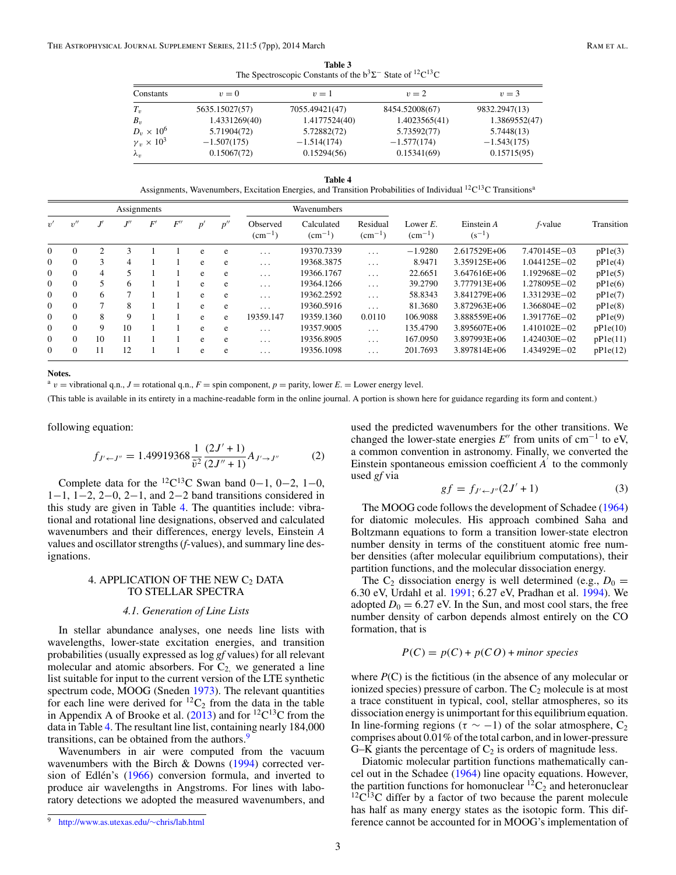**Table 3** The Spectroscopic Constants of the  $b^3\Sigma^-$  State of <sup>12</sup>C<sup>13</sup>C

<span id="page-3-0"></span>

| Constants              | $v=0$          | $v=1$          | $v=2$          | $v=3$         |
|------------------------|----------------|----------------|----------------|---------------|
| $T_v$                  | 5635.15027(57) | 7055.49421(47) | 8454.52008(67) | 9832.2947(13) |
| $B_{\nu}$              | 1.4331269(40)  | 1.4177524(40)  | 1.4023565(41)  | 1.3869552(47) |
| $D_v \times 10^6$      | 5.71904(72)    | 5.72882(72)    | 5.73592(77)    | 5.7448(13)    |
| $\gamma_v \times 10^3$ | $-1.507(175)$  | $-1.514(174)$  | $-1.577(174)$  | $-1.543(175)$ |
| $\lambda_v$            | 0.15067(72)    | 0.15294(56)    | 0.15341(69)    | 0.15715(95)   |

**Table 4** Assignments, Wavenumbers, Excitation Energies, and Transition Probabilities of Individual <sup>12</sup>C<sup>13</sup>C Transitions<sup>a</sup>

|                |          |              | Assignments        |    |    |   |              |                             | Wavenumbers                   |                             |                                |                            |                  |            |  |
|----------------|----------|--------------|--------------------|----|----|---|--------------|-----------------------------|-------------------------------|-----------------------------|--------------------------------|----------------------------|------------------|------------|--|
| v'             | v''      |              | $I^{\prime\prime}$ | F' | F' | p | $n^{\prime}$ | Observed<br>$\rm (cm^{-1})$ | Calculated<br>$\rm (cm^{-1})$ | Residual<br>$\rm (cm^{-1})$ | Lower $E$ .<br>$\rm (cm^{-1})$ | Einstein $A$<br>$(s^{-1})$ | f-value          | Transition |  |
| $\overline{0}$ | $\Omega$ |              | 3                  |    |    | e | e            | $\cdots$                    | 19370.7339                    | $\cdots$                    | $-1.9280$                      | 2.617529E+06               | 7.470145E-03     | pP1e(3)    |  |
| $\Omega$       | $\Omega$ | $\mathbf{3}$ | $\overline{4}$     |    |    | e | e            | $\cdots$                    | 19368.3875                    | $\cdots$                    | 8.9471                         | 3.359125E+06               | $1.044125E - 02$ | pP1e(4)    |  |
| $\Omega$       | $\Omega$ | 4            | 5                  |    |    | e | e            | $\cdots$                    | 19366.1767                    | $\cdots$                    | 22.6651                        | 3.647616E+06               | 1.192968E-02     | pP1e(5)    |  |
| $\Omega$       | $\Omega$ |              | 6                  |    |    | e | e            | $\cdots$                    | 19364.1266                    | $\cdots$                    | 39.2790                        | 3.777913E+06               | 1.278095E-02     | pP1e(6)    |  |
| $\Omega$       | $\Omega$ | 6            | $\overline{7}$     |    |    | e | e            | $\cdots$                    | 19362.2592                    | $\cdots$                    | 58.8343                        | 3.841279E+06               | 1.331293E-02     | pP1e(7)    |  |
| $\Omega$       | $\Omega$ |              | 8                  |    |    | e | e            | $\cdots$                    | 19360.5916                    | $\cdots$                    | 81.3680                        | 3.872963E+06               | 1.366804E-02     | pP1e(8)    |  |
| $\Omega$       | $\Omega$ | 8            | 9                  |    |    | e | e            | 19359.147                   | 19359.1360                    | 0.0110                      | 106.9088                       | 3.888559E+06               | 1.391776E-02     | pP1e(9)    |  |
| $\Omega$       | $\Omega$ | 9            | 10                 |    |    | e | e            | $\cdots$                    | 19357.9005                    | $\cdots$                    | 135.4790                       | 3.895607E+06               | $1.410102E - 02$ | pP1e(10)   |  |
| $\Omega$       | $\Omega$ | 10           | 11                 |    |    | e | e            | $\cdot$ $\cdot$ $\cdot$     | 19356.8905                    | $\cdots$                    | 167.0950                       | 3.897993E+06               | 1.424030E-02     | pP1e(11)   |  |
| $\overline{0}$ | $\Omega$ | 11           | 12                 |    |    | e | e            | $\cdots$                    | 19356.1098                    | $\cdots$                    | 201.7693                       | 3.897814E+06               | 1.434929E-02     | pP1e(12)   |  |

**Notes.**

 $a$  *v* = vibrational q.n., *J* = rotational q.n., *F* = spin component, *p* = parity, lower *E*. = Lower energy level.

(This table is available in its entirety in a machine-readable form in the online journal. A portion is shown here for guidance regarding its form and content.)

following equation:

$$
f_{J' \leftarrow J''} = 1.49919368 \frac{1}{\tilde{v}^2} \frac{(2J' + 1)}{(2J'' + 1)} A_{J' \rightarrow J''}
$$
 (2)

Complete data for the <sup>12</sup>C<sup>13</sup>C Swan band 0−1, 0−2, 1−0, 1−1, 1−2, 2−0, 2−1, and 2−2 band transitions considered in this study are given in Table 4. The quantities include: vibrational and rotational line designations, observed and calculated wavenumbers and their differences, energy levels, Einstein *A* values and oscillator strengths (*f*-values), and summary line designations.

#### 4. APPLICATION OF THE NEW  $C_2$  DATA TO STELLAR SPECTRA

#### *4.1. Generation of Line Lists*

In stellar abundance analyses, one needs line lists with wavelengths, lower-state excitation energies, and transition probabilities (usually expressed as log *gf* values) for all relevant molecular and atomic absorbers. For  $C_2$ , we generated a line list suitable for input to the current version of the LTE synthetic spectrum code, MOOG (Sneden [1973\)](#page-7-0). The relevant quantities for each line were derived for  ${}^{12}C_2$  from the data in the table in Appendix A of Brooke et al.  $(2013)$  and for <sup>12</sup>C<sup>13</sup>C from the data in Table 4. The resultant line list, containing nearly 184,000 transitions, can be obtained from the authors.<sup>9</sup>

Wavenumbers in air were computed from the vacuum wavenumbers with the Birch & Downs [\(1994\)](#page-7-0) corrected version of Edlén's  $(1966)$  $(1966)$  conversion formula, and inverted to produce air wavelengths in Angstroms. For lines with laboratory detections we adopted the measured wavenumbers, and used the predicted wavenumbers for the other transitions. We changed the lower-state energies  $E''$  from units of cm<sup>-1</sup> to eV, a common convention in astronomy. Finally, we converted the Einstein spontaneous emission coefficient *A* to the commonly used *gf* via

$$
gf = f_{J' \leftarrow J''}(2J' + 1)
$$
 (3)

The MOOG code follows the development of Schadee [\(1964\)](#page-7-0) for diatomic molecules. His approach combined Saha and Boltzmann equations to form a transition lower-state electron number density in terms of the constituent atomic free number densities (after molecular equilibrium computations), their partition functions, and the molecular dissociation energy.

The  $C_2$  dissociation energy is well determined (e.g.,  $D_0 =$ 6.30 eV, Urdahl et al. [1991;](#page-7-0) 6.27 eV, Pradhan et al. [1994\)](#page-7-0). We adopted  $D_0 = 6.27$  eV. In the Sun, and most cool stars, the free number density of carbon depends almost entirely on the CO formation, that is

$$
P(C) = p(C) + p(CO) + \text{minor species}
$$

where *P*(C) is the fictitious (in the absence of any molecular or ionized species) pressure of carbon. The  $C_2$  molecule is at most a trace constituent in typical, cool, stellar atmospheres, so its dissociation energy is unimportant for this equilibrium equation. In line-forming regions ( $\tau \sim -1$ ) of the solar atmosphere, C<sub>2</sub> comprises about 0.01% of the total carbon, and in lower-pressure G–K giants the percentage of  $C_2$  is orders of magnitude less.

Diatomic molecular partition functions mathematically cancel out in the Schadee [\(1964\)](#page-7-0) line opacity equations. However, the partition functions for homonuclear  ${}^{12}C_2$  and heteronuclear  ${}^{12}C^{13}C$  differ by a factor of two because the parent molecule has half as many energy states as the isotopic form. This difference cannot be accounted for in MOOG's implementation of

<sup>9</sup> [http://www.as.utexas.edu/](http://www.as.utexas.edu/~chris/lab.html)∼chris/lab.html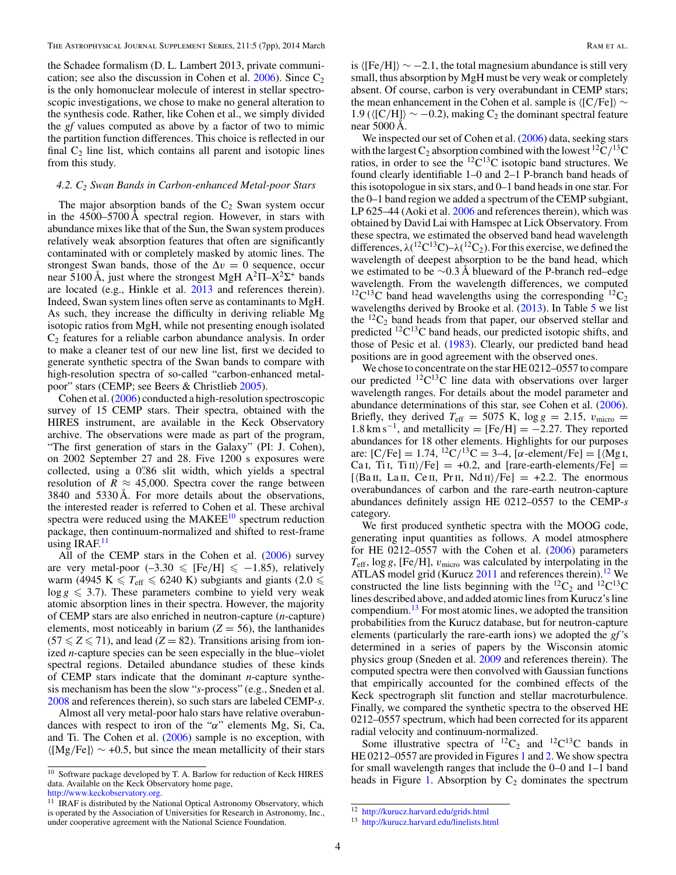<span id="page-4-0"></span>the Schadee formalism (D. L. Lambert 2013, private communication; see also the discussion in Cohen et al.  $2006$ ). Since  $C_2$ is the only homonuclear molecule of interest in stellar spectroscopic investigations, we chose to make no general alteration to the synthesis code. Rather, like Cohen et al., we simply divided the *gf* values computed as above by a factor of two to mimic the partition function differences. This choice is reflected in our final  $C_2$  line list, which contains all parent and isotopic lines from this study.

#### *4.2. C2 Swan Bands in Carbon-enhanced Metal-poor Stars*

The major absorption bands of the  $C_2$  Swan system occur in the 4500–5700 Å spectral region. However, in stars with abundance mixes like that of the Sun, the Swan system produces relatively weak absorption features that often are significantly contaminated with or completely masked by atomic lines. The strongest Swan bands, those of the  $\Delta v = 0$  sequence, occur near 5100 Å, just where the strongest MgH  $A^2\Pi - X^2\Sigma^+$  bands are located (e.g., Hinkle et al. [2013](#page-7-0) and references therein). Indeed, Swan system lines often serve as contaminants to MgH. As such, they increase the difficulty in deriving reliable Mg isotopic ratios from MgH, while not presenting enough isolated  $C_2$  features for a reliable carbon abundance analysis. In order to make a cleaner test of our new line list, first we decided to generate synthetic spectra of the Swan bands to compare with high-resolution spectra of so-called "carbon-enhanced metalpoor" stars (CEMP; see Beers & Christlieb [2005\)](#page-7-0).

Cohen et al. [\(2006\)](#page-7-0) conducted a high-resolution spectroscopic survey of 15 CEMP stars. Their spectra, obtained with the HIRES instrument, are available in the Keck Observatory archive. The observations were made as part of the program, "The first generation of stars in the Galaxy" (PI: J. Cohen), on 2002 September 27 and 28. Five 1200 s exposures were collected, using a 0'.86 slit width, which yields a spectral resolution of  $R \approx 45,000$ . Spectra cover the range between 3840 and 5330 Å. For more details about the observations, the interested reader is referred to Cohen et al. These archival spectra were reduced using the  $MAKEE^{10}$  spectrum reduction package, then continuum-normalized and shifted to rest-frame using IRAF. $<sup>11</sup>$ </sup>

All of the CEMP stars in the Cohen et al. [\(2006\)](#page-7-0) survey are very metal-poor  $(-3.30 \leq$  [Fe/H]  $\leq -1.85$ ), relatively warm (4945 K  $\leq T_{\text{eff}} \leq 6240$  K) subgiants and giants (2.0  $\leq$  $\log g \leqslant 3.7$ ). These parameters combine to yield very weak atomic absorption lines in their spectra. However, the majority of CEMP stars are also enriched in neutron-capture (*n*-capture) elements, most noticeably in barium  $(Z = 56)$ , the lanthanides  $(57 \le Z \le 71)$ , and lead  $(Z = 82)$ . Transitions arising from ionized *n*-capture species can be seen especially in the blue–violet spectral regions. Detailed abundance studies of these kinds of CEMP stars indicate that the dominant *n*-capture synthesis mechanism has been the slow "*s*-process" (e.g., Sneden et al. [2008](#page-7-0) and references therein), so such stars are labeled CEMP-*s*.

Almost all very metal-poor halo stars have relative overabundances with respect to iron of the "*α*" elements Mg, Si, Ca, and Ti. The Cohen et al. [\(2006\)](#page-7-0) sample is no exception, with [Mg*/*Fe] ∼ +0.5, but since the mean metallicity of their stars is  $\langle [Fe/H] \rangle \sim -2.1$ , the total magnesium abundance is still very small, thus absorption by MgH must be very weak or completely absent. Of course, carbon is very overabundant in CEMP stars; the mean enhancement in the Cohen et al. sample is  $\langle$ [C/Fe] $\rangle \sim$ 1.9 ([C*/*H]∼−0.2), making C2 the dominant spectral feature near 5000 Å.

We inspected our set of Cohen et al. [\(2006\)](#page-7-0) data, seeking stars with the largest  $C_2$  absorption combined with the lowest <sup>12</sup> $C/$ <sup>13</sup>C ratios, in order to see the  ${}^{12}C_{13}C$  isotopic band structures. We found clearly identifiable 1–0 and 2–1 P-branch band heads of this isotopologue in six stars, and 0–1 band heads in one star. For the 0–1 band region we added a spectrum of the CEMP subgiant, LP 625–44 (Aoki et al. [2006](#page-7-0) and references therein), which was obtained by David Lai with Hamspec at Lick Observatory. From these spectra, we estimated the observed band head wavelength differences,  $\lambda(^{12}C^{13}C) - \lambda(^{12}C_2)$ . For this exercise, we defined the wavelength of deepest absorption to be the band head, which we estimated to be ∼0.3 Å blueward of the P-branch red–edge wavelength. From the wavelength differences, we computed <sup>12</sup>C<sup>13</sup>C band head wavelengths using the corresponding <sup>12</sup>C<sub>2</sub> wavelengths derived by Brooke et al. [\(2013\)](#page-7-0). In Table [5](#page-5-0) we list the  ${}^{12}C_2$  band heads from that paper, our observed stellar and predicted 12C13C band heads, our predicted isotopic shifts, and those of Pesic et al. [\(1983\)](#page-7-0). Clearly, our predicted band head positions are in good agreement with the observed ones.

We chose to concentrate on the star HE 0212–0557 to compare our predicted  ${}^{12}C^{13}C$  line data with observations over larger wavelength ranges. For details about the model parameter and abundance determinations of this star, see Cohen et al. [\(2006\)](#page-7-0). Briefly, they derived  $T_{\text{eff}} = 5075 \text{ K}$ ,  $\log g = 2.15$ ,  $v_{\text{micro}} =$  $1.8 \text{ km s}^{-1}$ , and metallicity = [Fe/H] =  $-2.27$ . They reported abundances for 18 other elements. Highlights for our purposes are:  $[C/Fe] = 1.74$ ,  $^{12}C/^{13}C = 3-4$ ,  $[\alpha$ -element/Fe] = [ $\langle Mg I,$ Ca i, Ti i, Ti ii<sup></sup>/Fe] = +0.2, and [rare-earth-elements/Fe] =  $[\langle Ba II, La II, Ce II, Pr II, Nd II \rangle/Fe] = +2.2$ . The enormous overabundances of carbon and the rare-earth neutron-capture abundances definitely assign HE 0212–0557 to the CEMP-*s* category.

We first produced synthetic spectra with the MOOG code, generating input quantities as follows. A model atmosphere for HE 0212–0557 with the Cohen et al.  $(2006)$  parameters  $T_{\text{eff}}$ ,  $\log g$ , [Fe/H],  $v_{\text{micro}}$  was calculated by interpolating in the ATLAS model grid (Kurucz  $2011$  and references therein).<sup>12</sup> We constructed the line lists beginning with the  ${}^{12}C_2$  and  ${}^{12}C^{13}C$ lines described above, and added atomic lines from Kurucz's line compendium.<sup>13</sup> For most atomic lines, we adopted the transition probabilities from the Kurucz database, but for neutron-capture elements (particularly the rare-earth ions) we adopted the *gf '*s determined in a series of papers by the Wisconsin atomic physics group (Sneden et al. [2009](#page-7-0) and references therein). The computed spectra were then convolved with Gaussian functions that empirically accounted for the combined effects of the Keck spectrograph slit function and stellar macroturbulence. Finally, we compared the synthetic spectra to the observed HE 0212–0557 spectrum, which had been corrected for its apparent radial velocity and continuum-normalized.

Some illustrative spectra of  ${}^{12}C_2$  and  ${}^{12}C^{13}C$  bands in HE 02[1](#page-5-0)2-0557 are provided in Figures 1 and [2.](#page-5-0) We show spectra for small wavelength ranges that include the 0–0 and 1–1 band heads in Figure [1.](#page-5-0) Absorption by  $C_2$  dominates the spectrum

 $^{10}\,$  Software package developed by T. A. Barlow for reduction of Keck HIRES data. Available on the Keck Observatory home page, [http://www.keckobservatory.org.](http://www.keckobservatory.org)

<sup>&</sup>lt;sup>11</sup> IRAF is distributed by the National Optical Astronomy Observatory, which is operated by the Association of Universities for Research in Astronomy, Inc., under cooperative agreement with the National Science Foundation.

<sup>12</sup> <http://kurucz.harvard.edu/grids.html>

<sup>13</sup> <http://kurucz.harvard.edu/linelists.html>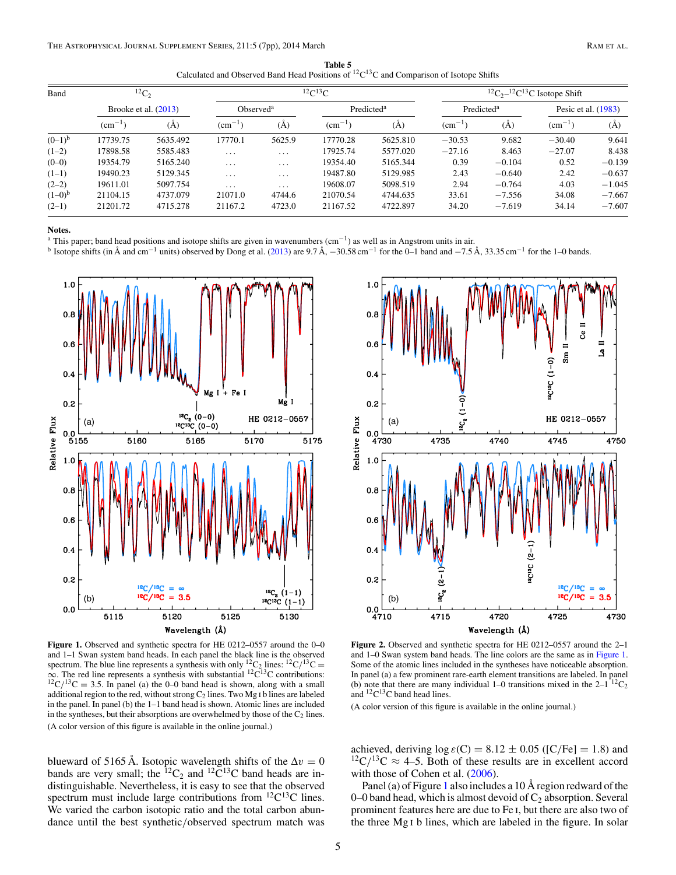**Table 5** Calculated and Observed Band Head Positions of  ${}^{12}C^{13}C$  and Comparison of Isotope Shifts

<span id="page-5-0"></span>

| Band        |                 | ${}^{12}C_2$           |                |                         | ${}^{12}C$ ${}^{13}C$ |                        |                              | ${}^{12}C_{2}$ - ${}^{12}C_{1}{}^{13}C$ Isotope Shift |             |                       |  |
|-------------|-----------------|------------------------|----------------|-------------------------|-----------------------|------------------------|------------------------------|-------------------------------------------------------|-------------|-----------------------|--|
|             |                 | Brooke et al. $(2013)$ |                | Observed <sup>a</sup>   |                       | Predicted <sup>a</sup> |                              | Predicted <sup>a</sup>                                |             | Pesic et al. $(1983)$ |  |
|             | $\rm\ (cm^{-1}$ | (Å)                    | $\rm\,cm^{-1}$ | (Å)                     | $(cm^{-1})$           | (A)                    | $\rm \left( cm^{-1} \right)$ | (A)                                                   | $(cm^{-1})$ | (A)                   |  |
| $(0-1)^{b}$ | 17739.75        | 5635.492               | 17770.1        | 5625.9                  | 17770.28              | 5625.810               | $-30.53$                     | 9.682                                                 | $-30.40$    | 9.641                 |  |
| $(1-2)$     | 17898.58        | 5585.483               | $\cdots$       | $\cdot$ $\cdot$ $\cdot$ | 17925.74              | 5577.020               | $-27.16$                     | 8.463                                                 | $-27.07$    | 8.438                 |  |
| $(0-0)$     | 19354.79        | 5165.240               | $\cdots$       | $\cdot$ $\cdot$ $\cdot$ | 19354.40              | 5165.344               | 0.39                         | $-0.104$                                              | 0.52        | $-0.139$              |  |
| $(1-1)$     | 19490.23        | 5129.345               | $\cdots$       | $\cdot$ $\cdot$ $\cdot$ | 19487.80              | 5129.985               | 2.43                         | $-0.640$                                              | 2.42        | $-0.637$              |  |
| $(2-2)$     | 19611.01        | 5097.754               | $\cdots$       | $\cdots$                | 19608.07              | 5098.519               | 2.94                         | $-0.764$                                              | 4.03        | $-1.045$              |  |
| $(1-0)^{b}$ | 21104.15        | 4737.079               | 21071.0        | 4744.6                  | 21070.54              | 4744.635               | 33.61                        | $-7.556$                                              | 34.08       | $-7.667$              |  |
| $(2-1)$     | 21201.72        | 4715.278               | 21167.2        | 4723.0                  | 21167.52              | 4722.897               | 34.20                        | $-7.619$                                              | 34.14       | $-7.607$              |  |

**Notes.**

<sup>a</sup> This paper; band head positions and isotope shifts are given in wavenumbers  $(cm<sup>-1</sup>)$  as well as in Angstrom units in air.

<sup>b</sup> Isotope shifts (in Å and cm<sup>-1</sup> units) observed by Dong et al. [\(2013\)](#page-7-0) are 9.7 Å, −30.58 cm<sup>-1</sup> for the 0–1 band and −7.5 Å, 33.35 cm<sup>-1</sup> for the 1–0 bands.



Figure 1. Observed and synthetic spectra for HE 0212-0557 around the 0-0 and 1–1 Swan system band heads. In each panel the black line is the observed spectrum. The blue line represents a synthesis with only <sup>12</sup>C<sub>2</sub> lines: <sup>12</sup>C/<sup>13</sup>C =  $\infty$ . The red line represents a synthesis with substantial <sup>12</sup>C<sup>13</sup>C contributions:  $^{12}C/^{13}C = 3.5$ . In panel (a) the 0–0 band head is shown, along with a small additional region to the red, without strong  $C_2$  lines. Two Mg I b lines are labeled in the panel. In panel (b) the 1–1 band head is shown. Atomic lines are included in the syntheses, but their absorptions are overwhelmed by those of the  $C_2$  lines. (A color version of this figure is available in the online journal.)

blueward of 5165 Å. Isotopic wavelength shifts of the  $\Delta v = 0$ bands are very small; the <sup>12</sup>C<sub>2</sub> and <sup>12</sup>C<sup>13</sup>C band heads are indistinguishable. Nevertheless, it is easy to see that the observed spectrum must include large contributions from <sup>12</sup>C<sup>13</sup>C lines. We varied the carbon isotopic ratio and the total carbon abundance until the best synthetic*/*observed spectrum match was



**Figure 2.** Observed and synthetic spectra for HE 0212–0557 around the 2–1 and 1–0 Swan system band heads. The line colors are the same as in Figure 1. Some of the atomic lines included in the syntheses have noticeable absorption. In panel (a) a few prominent rare-earth element transitions are labeled. In panel (b) note that there are many individual 1–0 transitions mixed in the  $2-1^{12}C_2$ and  ${}^{12}C {}^{13}C$  band head lines.

(A color version of this figure is available in the online journal.)

achieved, deriving  $\log \varepsilon$ (C) = 8.12  $\pm$  0.05 ([C/Fe] = 1.8) and  $12^1C/13C \approx 4-5$ . Both of these results are in excellent accord with those of Cohen et al. [\(2006\)](#page-7-0).

Panel (a) of Figure 1 also includes a 10 Å region redward of the 0–0 band head, which is almost devoid of  $C_2$  absorption. Several prominent features here are due to Fe i, but there are also two of the three Mg i b lines, which are labeled in the figure. In solar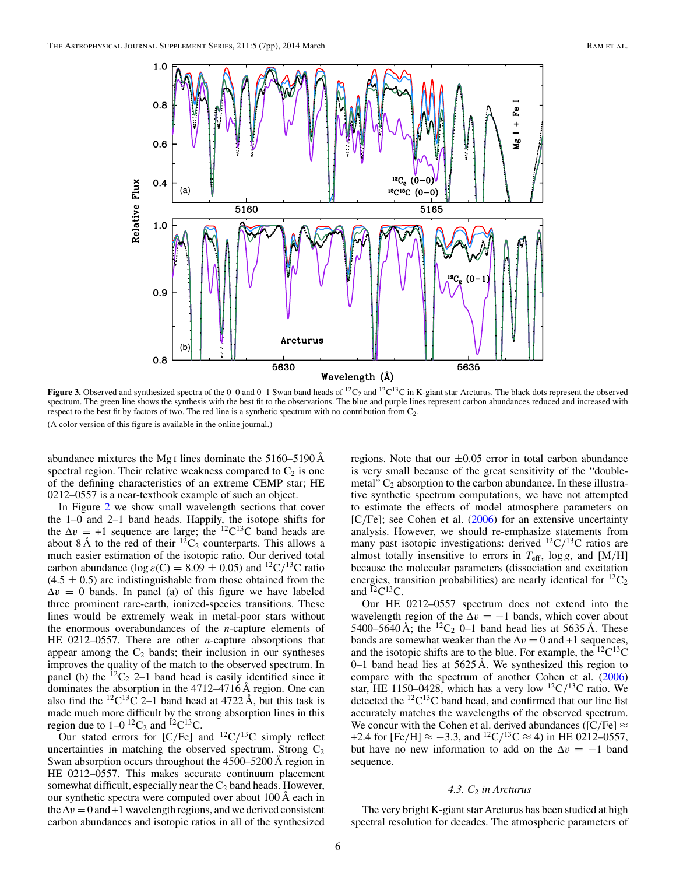<span id="page-6-0"></span>

**Figure 3.** Observed and synthesized spectra of the 0–0 and 0–1 Swan band heads of  ${}^{12}C_2$  and  ${}^{12}C^{13}C$  in K-giant star Arcturus. The black dots represent the observed spectrum. The green line shows the synthesis with the best fit to the observations. The blue and purple lines represent carbon abundances reduced and increased with respect to the best fit by factors of two. The red line is a synthetic spectrum with no contribution from  $C_2$ . (A color version of this figure is available in the online journal.)

abundance mixtures the Mg i lines dominate the 5160–5190 Å spectral region. Their relative weakness compared to  $C_2$  is one of the defining characteristics of an extreme CEMP star; HE 0212–0557 is a near-textbook example of such an object.

In Figure [2](#page-5-0) we show small wavelength sections that cover the 1–0 and 2–1 band heads. Happily, the isotope shifts for the  $\Delta v = +1$  sequence are large; the <sup>12</sup>C<sup>13</sup>C band heads are about 8 Å to the red of their  ${}^{12}C_2$  counterparts. This allows a much easier estimation of the isotopic ratio. Our derived total carbon abundance (log  $\varepsilon$ (C) = 8.09  $\pm$  0.05) and <sup>12</sup>C/<sup>13</sup>C ratio  $(4.5 \pm 0.5)$  are indistinguishable from those obtained from the  $\Delta v = 0$  bands. In panel (a) of this figure we have labeled three prominent rare-earth, ionized-species transitions. These lines would be extremely weak in metal-poor stars without the enormous overabundances of the *n*-capture elements of HE 0212–0557. There are other *n*-capture absorptions that appear among the  $C_2$  bands; their inclusion in our syntheses improves the quality of the match to the observed spectrum. In panel (b) the  ${}^{12}C_2$  2–1 band head is easily identified since it dominates the absorption in the 4712–4716 Å region. One can also find the  ${}^{12}C^{13}\overline{C}$  2–1 band head at 4722 Å, but this task is made much more difficult by the strong absorption lines in this region due to  $1-0^{12}C_2$  and  ${}^{12}C^{13}C$ .

Our stated errors for  $[C/Fe]$  and  $^{12}C/^{13}C$  simply reflect uncertainties in matching the observed spectrum. Strong  $C_2$ Swan absorption occurs throughout the 4500–5200 Å region in HE 0212–0557. This makes accurate continuum placement somewhat difficult, especially near the  $C_2$  band heads. However, our synthetic spectra were computed over about 100 Å each in the  $\Delta v = 0$  and +1 wavelength regions, and we derived consistent carbon abundances and isotopic ratios in all of the synthesized

regions. Note that our  $\pm 0.05$  error in total carbon abundance is very small because of the great sensitivity of the "doublemetal"  $C_2$  absorption to the carbon abundance. In these illustrative synthetic spectrum computations, we have not attempted to estimate the effects of model atmosphere parameters on [C*/*Fe]; see Cohen et al. [\(2006\)](#page-7-0) for an extensive uncertainty analysis. However, we should re-emphasize statements from many past isotopic investigations: derived <sup>12</sup>C/<sup>13</sup>C ratios are almost totally insensitive to errors in  $T_{\text{eff}}$ , log *g*, and [M/H] because the molecular parameters (dissociation and excitation energies, transition probabilities) are nearly identical for  ${}^{12}C_2$ and  ${}^{12}C^{13}C$ .

Our HE 0212–0557 spectrum does not extend into the wavelength region of the  $\Delta v = -1$  bands, which cover about 5400–5640 Å; the <sup>12</sup>C<sub>2</sub> 0–1 band head lies at 5635 Å. These bands are somewhat weaker than the  $\Delta v = 0$  and +1 sequences, and the isotopic shifts are to the blue. For example, the  ${}^{12}C^{13}C$  $0-1$  band head lies at 5625 Å. We synthesized this region to compare with the spectrum of another Cohen et al. [\(2006\)](#page-7-0) star, HE 1150–0428, which has a very low  ${}^{12}C/{}^{13}C$  ratio. We detected the  ${}^{12}C^{13}C$  band head, and confirmed that our line list accurately matches the wavelengths of the observed spectrum. We concur with the Cohen et al. derived abundances ( $[C/Fe] \approx$ +2.4 for [Fe/H]  $\approx -3.3$ , and <sup>12</sup>C/<sup>13</sup>C  $\approx$  4) in HE 0212–0557, but have no new information to add on the  $\Delta v = -1$  band sequence.

#### *4.3. C2 in Arcturus*

The very bright K-giant star Arcturus has been studied at high spectral resolution for decades. The atmospheric parameters of